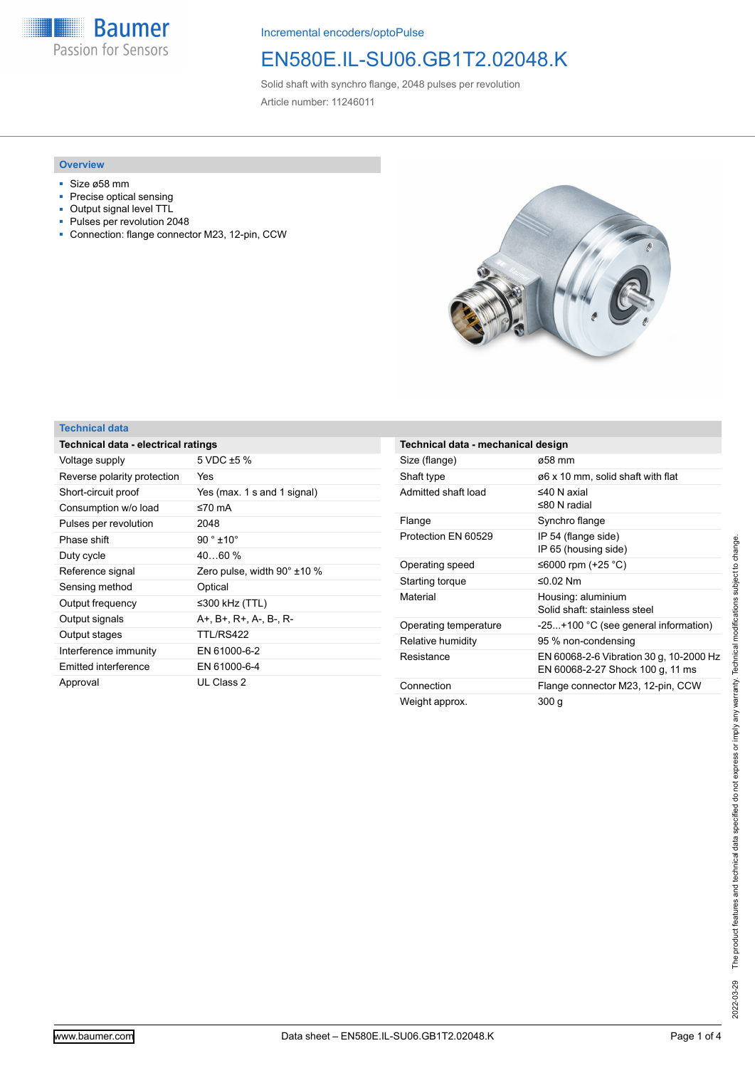**Baumer** Passion for Sensors

Incremental encoders/optoPulse

## EN580E.IL-SU06.GB1T2.02048.K

Solid shaft with synchro flange, 2048 pulses per revolution Article number: 11246011

#### **Overview**

- Size ø58 mm
- Precise optical sensing
- Output signal level TTL<br>■ Pulses per revolution 2
- Pulses per revolution 2048
- Connection: flange connector M23, 12-pin, CCW



### **Technical data**

| Technical data - electrical ratings |                             |  |
|-------------------------------------|-----------------------------|--|
| Voltage supply                      | 5 VDC $\pm$ 5 %             |  |
| Reverse polarity protection         | Yes                         |  |
| Short-circuit proof                 | Yes (max. 1 s and 1 signal) |  |
| Consumption w/o load                | ≤70 mA                      |  |
| Pulses per revolution               | 2048                        |  |
| Phase shift                         | $90^{\circ}$ ±10 $^{\circ}$ |  |
| Duty cycle                          | $4060\%$                    |  |
| Reference signal                    | Zero pulse, width 90° ±10 % |  |
| Sensing method                      | Optical                     |  |
| Output frequency                    | ≤300 kHz (TTL)              |  |
| Output signals                      | A+. B+. R+. A-. B-. R-      |  |
| Output stages                       | TTL/RS422                   |  |
| Interference immunity               | EN 61000-6-2                |  |
| Emitted interference                | EN 61000-6-4                |  |
| Approval                            | UL Class 2                  |  |

| Technical data - mechanical design |                                                                             |  |
|------------------------------------|-----------------------------------------------------------------------------|--|
| Size (flange)                      | ø58 mm                                                                      |  |
| Shaft type                         | ø6 x 10 mm, solid shaft with flat                                           |  |
| Admitted shaft load                | $\leq$ 40 N axial<br>$≤80 N$ radial                                         |  |
| Flange                             | Synchro flange                                                              |  |
| Protection EN 60529                | IP 54 (flange side)<br>IP 65 (housing side)                                 |  |
| Operating speed                    | ≤6000 rpm (+25 °C)                                                          |  |
| Starting torque                    | ≤0.02 Nm                                                                    |  |
| Material                           | Housing: aluminium<br>Solid shaft: stainless steel                          |  |
| Operating temperature              | -25+100 °C (see general information)                                        |  |
| Relative humidity                  | 95 % non-condensing                                                         |  |
| Resistance                         | EN 60068-2-6 Vibration 30 g, 10-2000 Hz<br>EN 60068-2-27 Shock 100 g, 11 ms |  |
| Connection                         | Flange connector M23, 12-pin, CCW                                           |  |
| Weight approx.                     | 300 g                                                                       |  |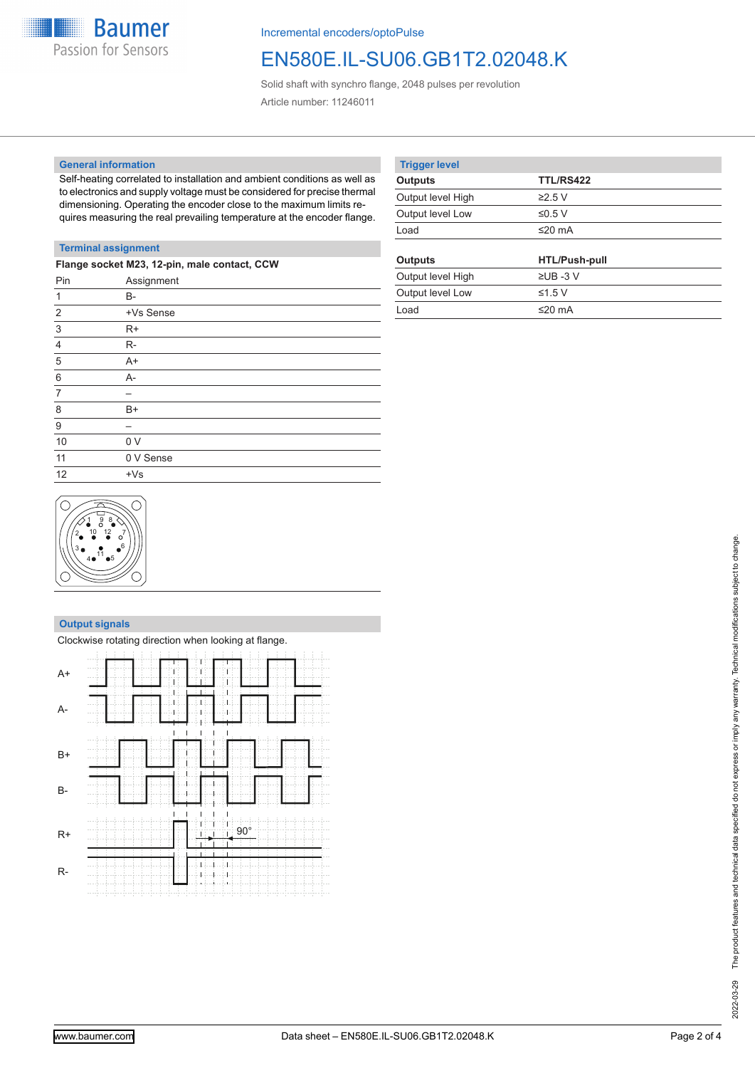

Incremental encoders/optoPulse

## EN580E.IL-SU06.GB1T2.02048.K

Solid shaft with synchro flange, 2048 pulses per revolution Article number: 11246011

#### **General information**

Self-heating correlated to installation and ambient conditions as well as to electronics and supply voltage must be considered for precise thermal dimensioning. Operating the encoder close to the maximum limits requires measuring the real prevailing temperature at the encoder flange.

| <b>Trigger level</b> |                      |  |
|----------------------|----------------------|--|
| <b>Outputs</b>       | <b>TTL/RS422</b>     |  |
| Output level High    | $\geq$ 2.5 V         |  |
| Output level Low     | ≤0.5 V               |  |
| Load                 | ≤20 $mA$             |  |
|                      |                      |  |
|                      |                      |  |
| <b>Outputs</b>       | <b>HTL/Push-pull</b> |  |
| Output level High    | $\Sigma$ UB -3 V     |  |
| Output level Low     | ≤1.5 $V$             |  |
| Load                 | ≤20 mA               |  |

### **Terminal assignment**

| Flange socket M23, 12-pin, male contact, CCW |                |  |
|----------------------------------------------|----------------|--|
| Pin                                          | Assignment     |  |
| $\mathbf 1$                                  | <b>B-</b>      |  |
| $\overline{2}$                               | +Vs Sense      |  |
| $\mathbf{3}$                                 | $R+$           |  |
| $\overline{4}$                               | R-             |  |
| 5                                            | $A+$           |  |
| $\,6\,$                                      | $A -$          |  |
| $\overline{7}$                               |                |  |
| 8                                            | $B+$           |  |
| 9                                            |                |  |
| 10                                           | 0 <sub>V</sub> |  |
| 11                                           | 0 V Sense      |  |
| 12                                           | $+Vs$          |  |
|                                              |                |  |



#### **Output signals**

|           | Clockwise rotating direction when looking at flange. |
|-----------|------------------------------------------------------|
| $A+$      |                                                      |
| $A-$      |                                                      |
| $B+$      |                                                      |
| <b>B-</b> |                                                      |
| $R+$      | i 90°                                                |
| $R-$      |                                                      |

The product features and technical data specified do not express or imply any warranty. Technical modifications subject to change. 2022-03-29 The product features and technical data specified do not express or imply any warranty. Technical modifications subject to change.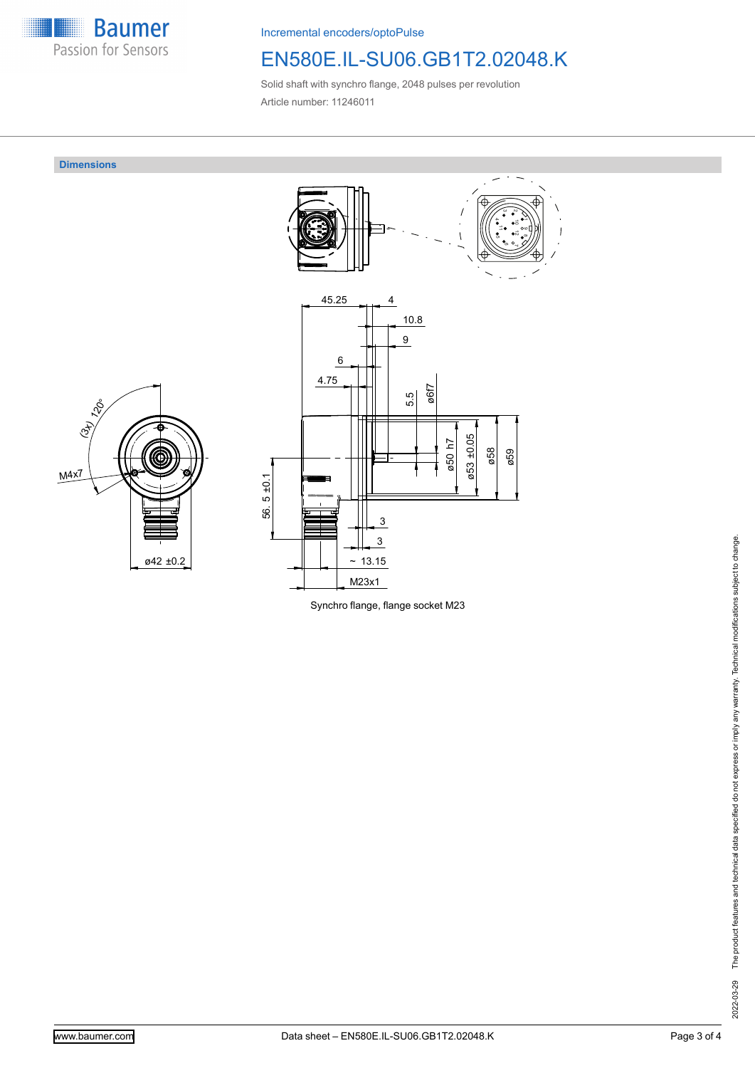

Incremental encoders/optoPulse

# EN580E.IL-SU06.GB1T2.02048.K

Solid shaft with synchro flange, 2048 pulses per revolution Article number: 11246011